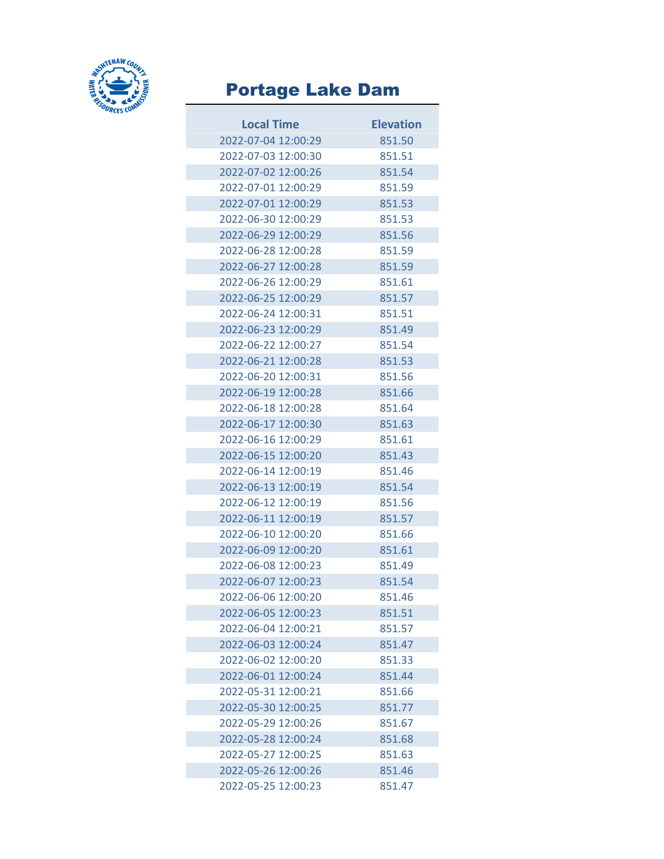

## Portage Lake Dam

| <b>Local Time</b>   | <b>Elevation</b> |
|---------------------|------------------|
| 2022-07-04 12:00:29 | 851.50           |
| 2022-07-03 12:00:30 | 851.51           |
| 2022-07-02 12:00:26 | 851.54           |
| 2022-07-01 12:00:29 | 851.59           |
| 2022-07-01 12:00:29 | 851.53           |
| 2022-06-30 12:00:29 | 851.53           |
| 2022-06-29 12:00:29 | 851.56           |
| 2022-06-28 12:00:28 | 851.59           |
| 2022-06-27 12:00:28 | 851.59           |
| 2022-06-26 12:00:29 | 851.61           |
| 2022-06-25 12:00:29 | 851.57           |
| 2022-06-24 12:00:31 | 851.51           |
| 2022-06-23 12:00:29 | 851.49           |
| 2022-06-22 12:00:27 | 851.54           |
| 2022-06-21 12:00:28 | 851.53           |
| 2022-06-20 12:00:31 | 851.56           |
| 2022-06-19 12:00:28 | 851.66           |
| 2022-06-18 12:00:28 | 851.64           |
| 2022-06-17 12:00:30 | 851.63           |
| 2022-06-16 12:00:29 | 851.61           |
| 2022-06-15 12:00:20 | 851.43           |
| 2022-06-14 12:00:19 | 851.46           |
| 2022-06-13 12:00:19 | 851.54           |
| 2022-06-12 12:00:19 | 851.56           |
| 2022-06-11 12:00:19 | 851.57           |
| 2022-06-10 12:00:20 | 851.66           |
| 2022-06-09 12:00:20 | 851.61           |
| 2022-06-08 12:00:23 | 851.49           |
| 2022-06-07 12:00:23 | 851.54           |
| 2022-06-06 12:00:20 | 851.46           |
| 2022-06-05 12:00:23 | 851.51           |
| 2022-06-04 12:00:21 | 851.57           |
| 2022-06-03 12:00:24 | 851.47           |
| 2022-06-02 12:00:20 | 851.33           |
| 2022-06-01 12:00:24 | 851.44           |
| 2022-05-31 12:00:21 | 851.66           |
| 2022-05-30 12:00:25 | 851.77           |
| 2022-05-29 12:00:26 | 851.67           |
| 2022-05-28 12:00:24 | 851.68           |
| 2022-05-27 12:00:25 | 851.63           |
| 2022-05-26 12:00:26 | 851.46           |
| 2022-05-25 12:00:23 | 851.47           |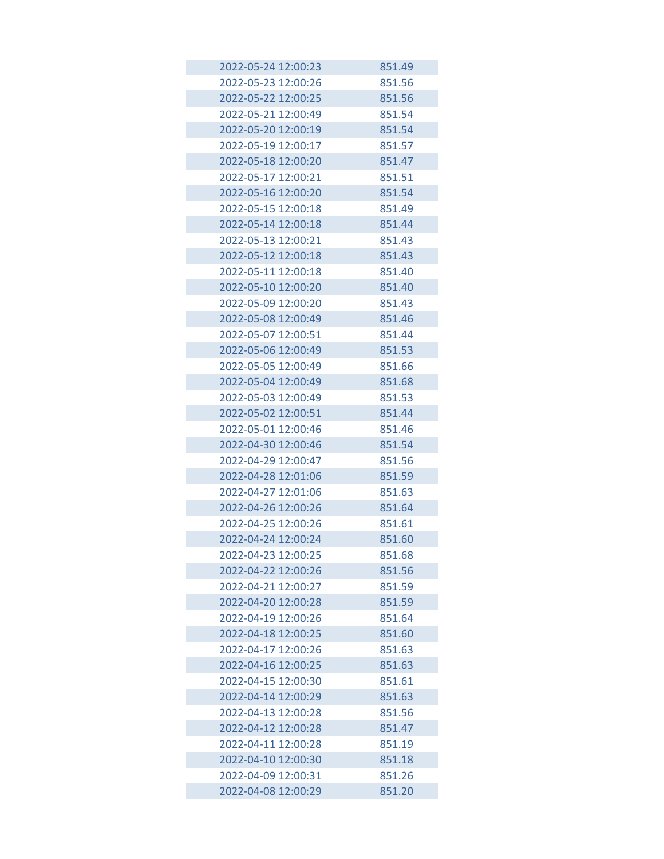| 2022-05-24 12:00:23                        | 851.49           |
|--------------------------------------------|------------------|
| 2022-05-23 12:00:26                        | 851.56           |
| 2022-05-22 12:00:25                        | 851.56           |
| 2022-05-21 12:00:49                        | 851.54           |
| 2022-05-20 12:00:19                        | 851.54           |
| 2022-05-19 12:00:17                        | 851.57           |
| 2022-05-18 12:00:20                        | 851.47           |
| 2022-05-17 12:00:21                        | 851.51           |
| 2022-05-16 12:00:20                        | 851.54           |
| 2022-05-15 12:00:18                        | 851.49           |
| 2022-05-14 12:00:18                        | 851.44           |
| 2022-05-13 12:00:21                        | 851.43           |
| 2022-05-12 12:00:18                        | 851.43           |
| 2022-05-11 12:00:18                        | 851.40           |
| 2022-05-10 12:00:20                        | 851.40           |
| 2022-05-09 12:00:20                        | 851.43           |
| 2022-05-08 12:00:49                        | 851.46           |
| 2022-05-07 12:00:51                        | 851.44           |
| 2022-05-06 12:00:49                        | 851.53           |
| 2022-05-05 12:00:49                        | 851.66           |
| 2022-05-04 12:00:49                        | 851.68           |
| 2022-05-03 12:00:49                        | 851.53           |
| 2022-05-02 12:00:51                        | 851.44           |
| 2022-05-01 12:00:46                        | 851.46           |
| 2022-04-30 12:00:46                        | 851.54           |
| 2022-04-29 12:00:47                        | 851.56           |
| 2022-04-28 12:01:06                        | 851.59           |
| 2022-04-27 12:01:06                        | 851.63           |
| 2022-04-26 12:00:26                        | 851.64           |
| 2022-04-25 12:00:26                        | 851.61           |
| 2022-04-24 12:00:24                        | 851.60           |
| 2022-04-23 12:00:25                        | 851.68           |
| 2022-04-22 12:00:26                        | 851.56           |
| 2022-04-21 12:00:27                        | 851.59           |
| 2022-04-20 12:00:28                        | 851.59           |
| 2022-04-19 12:00:26                        | 851.64           |
| 2022-04-18 12:00:25                        | 851.60           |
| 2022-04-17 12:00:26                        | 851.63           |
| 2022-04-16 12:00:25                        | 851.63           |
| 2022-04-15 12:00:30                        | 851.61           |
| 2022-04-14 12:00:29                        | 851.63           |
| 2022-04-13 12:00:28                        | 851.56           |
| 2022-04-12 12:00:28<br>2022-04-11 12:00:28 | 851.47           |
| 2022-04-10 12:00:30                        | 851.19           |
| 2022-04-09 12:00:31                        | 851.18<br>851.26 |
| 2022-04-08 12:00:29                        | 851.20           |
|                                            |                  |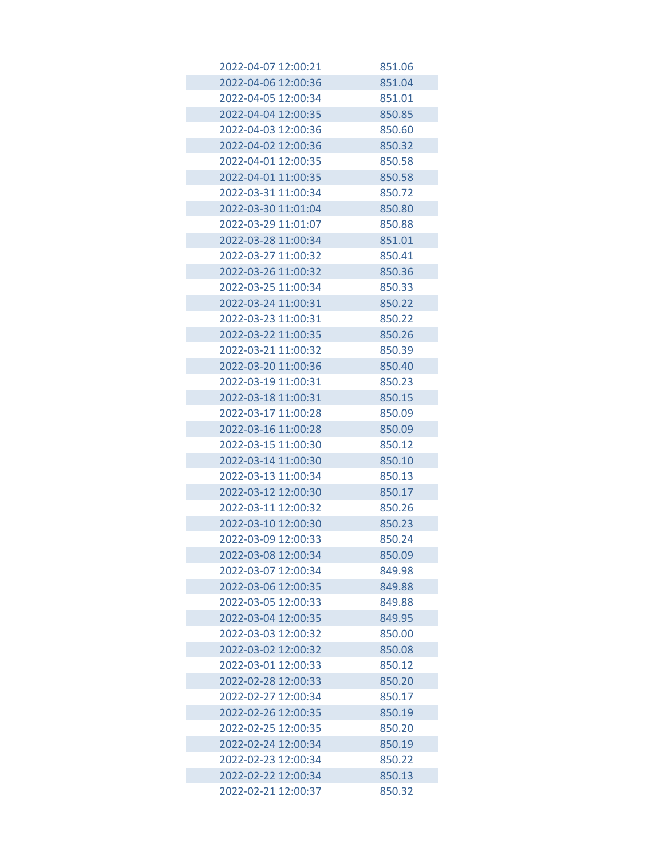| 2022-04-07 12:00:21 | 851.06 |
|---------------------|--------|
| 2022-04-06 12:00:36 | 851.04 |
| 2022-04-05 12:00:34 | 851.01 |
| 2022-04-04 12:00:35 | 850.85 |
| 2022-04-03 12:00:36 | 850.60 |
| 2022-04-02 12:00:36 | 850.32 |
| 2022-04-01 12:00:35 | 850.58 |
| 2022-04-01 11:00:35 | 850.58 |
| 2022-03-31 11:00:34 | 850.72 |
| 2022-03-30 11:01:04 | 850.80 |
| 2022-03-29 11:01:07 | 850.88 |
| 2022-03-28 11:00:34 | 851.01 |
| 2022-03-27 11:00:32 | 850.41 |
| 2022-03-26 11:00:32 | 850.36 |
| 2022-03-25 11:00:34 | 850.33 |
| 2022-03-24 11:00:31 | 850.22 |
| 2022-03-23 11:00:31 | 850.22 |
| 2022-03-22 11:00:35 | 850.26 |
| 2022-03-21 11:00:32 | 850.39 |
| 2022-03-20 11:00:36 | 850.40 |
| 2022-03-19 11:00:31 | 850.23 |
| 2022-03-18 11:00:31 | 850.15 |
| 2022-03-17 11:00:28 | 850.09 |
| 2022-03-16 11:00:28 | 850.09 |
| 2022-03-15 11:00:30 | 850.12 |
| 2022-03-14 11:00:30 | 850.10 |
| 2022-03-13 11:00:34 | 850.13 |
| 2022-03-12 12:00:30 | 850.17 |
| 2022-03-11 12:00:32 | 850.26 |
| 2022-03-10 12:00:30 | 850.23 |
| 2022-03-09 12:00:33 | 850.24 |
| 2022-03-08 12:00:34 | 850.09 |
| 2022-03-07 12:00:34 | 849.98 |
| 2022-03-06 12:00:35 | 849.88 |
| 2022-03-05 12:00:33 | 849.88 |
| 2022-03-04 12:00:35 | 849.95 |
| 2022-03-03 12:00:32 | 850.00 |
| 2022-03-02 12:00:32 | 850.08 |
| 2022-03-01 12:00:33 | 850.12 |
| 2022-02-28 12:00:33 | 850.20 |
| 2022-02-27 12:00:34 | 850.17 |
| 2022-02-26 12:00:35 | 850.19 |
| 2022-02-25 12:00:35 | 850.20 |
| 2022-02-24 12:00:34 | 850.19 |
| 2022-02-23 12:00:34 | 850.22 |
| 2022-02-22 12:00:34 | 850.13 |
| 2022-02-21 12:00:37 | 850.32 |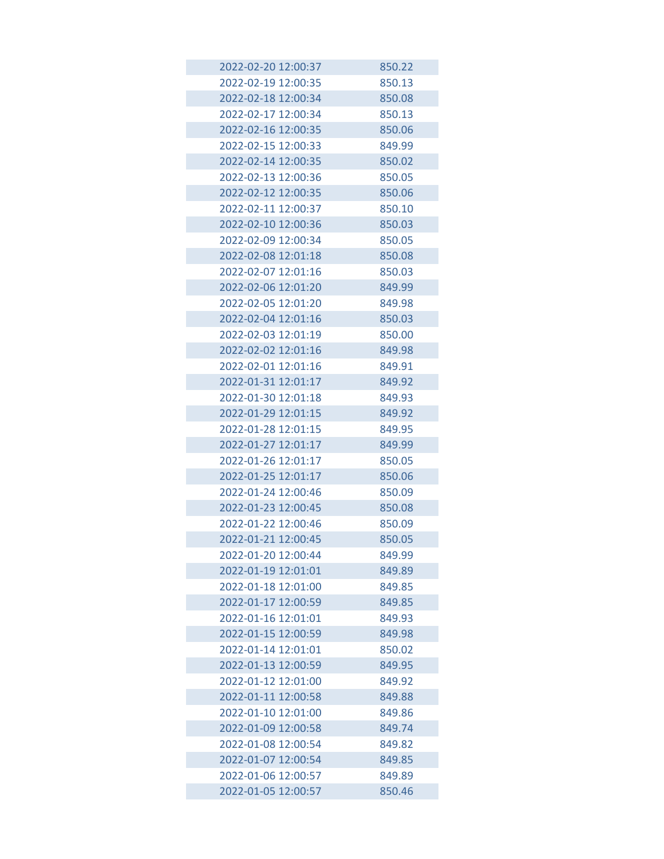| 2022-02-20 12:00:37 | 850.22 |
|---------------------|--------|
| 2022-02-19 12:00:35 | 850.13 |
| 2022-02-18 12:00:34 | 850.08 |
| 2022-02-17 12:00:34 | 850.13 |
| 2022-02-16 12:00:35 | 850.06 |
| 2022-02-15 12:00:33 | 849.99 |
| 2022-02-14 12:00:35 | 850.02 |
| 2022-02-13 12:00:36 | 850.05 |
| 2022-02-12 12:00:35 | 850.06 |
| 2022-02-11 12:00:37 | 850.10 |
| 2022-02-10 12:00:36 | 850.03 |
| 2022-02-09 12:00:34 | 850.05 |
| 2022-02-08 12:01:18 | 850.08 |
| 2022-02-07 12:01:16 | 850.03 |
| 2022-02-06 12:01:20 | 849.99 |
| 2022-02-05 12:01:20 | 849.98 |
| 2022-02-04 12:01:16 | 850.03 |
| 2022-02-03 12:01:19 | 850.00 |
| 2022-02-02 12:01:16 | 849.98 |
| 2022-02-01 12:01:16 | 849.91 |
| 2022-01-31 12:01:17 | 849.92 |
| 2022-01-30 12:01:18 | 849.93 |
| 2022-01-29 12:01:15 | 849.92 |
| 2022-01-28 12:01:15 | 849.95 |
| 2022-01-27 12:01:17 | 849.99 |
| 2022-01-26 12:01:17 | 850.05 |
| 2022-01-25 12:01:17 | 850.06 |
| 2022-01-24 12:00:46 | 850.09 |
| 2022-01-23 12:00:45 | 850.08 |
| 2022-01-22 12:00:46 | 850.09 |
| 2022-01-21 12:00:45 | 850.05 |
| 2022-01-20 12:00:44 | 849.99 |
| 2022-01-19 12:01:01 | 849.89 |
| 2022-01-18 12:01:00 | 849.85 |
| 2022-01-17 12:00:59 | 849.85 |
| 2022-01-16 12:01:01 | 849.93 |
| 2022-01-15 12:00:59 | 849.98 |
| 2022-01-14 12:01:01 | 850.02 |
| 2022-01-13 12:00:59 | 849.95 |
| 2022-01-12 12:01:00 | 849.92 |
| 2022-01-11 12:00:58 | 849.88 |
| 2022-01-10 12:01:00 | 849.86 |
| 2022-01-09 12:00:58 | 849.74 |
| 2022-01-08 12:00:54 | 849.82 |
| 2022-01-07 12:00:54 | 849.85 |
| 2022-01-06 12:00:57 | 849.89 |
| 2022-01-05 12:00:57 | 850.46 |